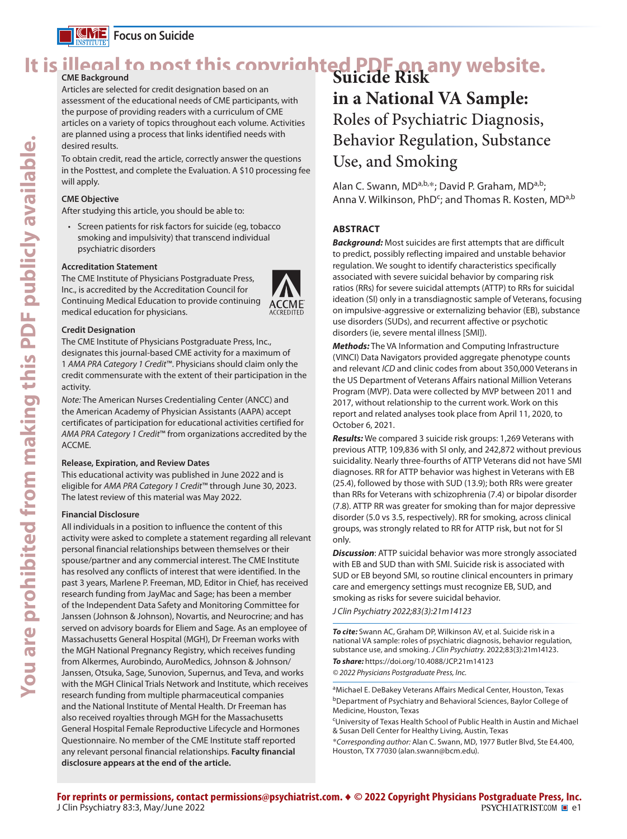

**KINE** Focus on Suicide

# It is illegal to post this copyrighted PDF on any website.<br>
Suicide Risk

Articles are selected for credit designation based on an assessment of the educational needs of CME participants, with the purpose of providing readers with a curriculum of CME articles on a variety of topics throughout each volume. Activities are planned using a process that links identified needs with desired results.

To obtain credit, read the article, correctly answer the questions in the Posttest, and complete the Evaluation. A \$10 processing fee will apply.

#### **CME Objective**

After studying this article, you should be able to:

• Screen patients for risk factors for suicide (eg, tobacco smoking and impulsivity) that transcend individual psychiatric disorders

#### **Accreditation Statement**

The CME Institute of Physicians Postgraduate Press, Inc., is accredited by the Accreditation Council for Continuing Medical Education to provide continuing medical education for physicians.



#### **Credit Designation**

The CME Institute of Physicians Postgraduate Press, Inc., designates this journal-based CME activity for a maximum of 1 *AMA PRA Category 1 Credit*™. Physicians should claim only the credit commensurate with the extent of their participation in the activity.

*Note:* The American Nurses Credentialing Center (ANCC) and the American Academy of Physician Assistants (AAPA) accept certificates of participation for educational activities certified for *AMA PRA Category 1 Credit*™ from organizations accredited by the ACCME.

#### **Release, Expiration, and Review Dates**

This educational activity was published in June 2022 and is eligible for *AMA PRA Category 1 Credit*™ through June 30, 2023. The latest review of this material was May 2022.

#### **Financial Disclosure**

All individuals in a position to influence the content of this activity were asked to complete a statement regarding all relevant personal financial relationships between themselves or their spouse/partner and any commercial interest. The CME Institute has resolved any conflicts of interest that were identified. In the past 3 years, Marlene P. Freeman, MD, Editor in Chief, has received research funding from JayMac and Sage; has been a member of the Independent Data Safety and Monitoring Committee for Janssen (Johnson & Johnson), Novartis, and Neurocrine; and has served on advisory boards for Eliem and Sage. As an employee of Massachusetts General Hospital (MGH), Dr Freeman works with the MGH National Pregnancy Registry, which receives funding from Alkermes, Aurobindo, AuroMedics, Johnson & Johnson/ Janssen, Otsuka, Sage, Sunovion, Supernus, and Teva, and works with the MGH Clinical Trials Network and Institute, which receives research funding from multiple pharmaceutical companies and the National Institute of Mental Health. Dr Freeman has also received royalties through MGH for the Massachusetts General Hospital Female Reproductive Lifecycle and Hormones Questionnaire. No member of the CME Institute staff reported any relevant personal financial relationships. **Faculty financial disclosure appears at the end of the article.**

### **in a National VA Sample:** Roles of Psychiatric Diagnosis, Behavior Regulation, Substance Use, and Smoking

Alan C. Swann, MD<sup>a,b,\*</sup>; David P. Graham, MD<sup>a,b</sup>; Anna V. Wilkinson, PhD<sup>c</sup>; and Thomas R. Kosten, MD<sup>a,b</sup>

#### **ABSTRACT**

*Background:* Most suicides are first attempts that are difficult to predict, possibly reflecting impaired and unstable behavior regulation. We sought to identify characteristics specifically associated with severe suicidal behavior by comparing risk ratios (RRs) for severe suicidal attempts (ATTP) to RRs for suicidal ideation (SI) only in a transdiagnostic sample of Veterans, focusing on impulsive-aggressive or externalizing behavior (EB), substance use disorders (SUDs), and recurrent affective or psychotic disorders (ie, severe mental illness [SMI]).

*Methods:* The VA Information and Computing Infrastructure (VINCI) Data Navigators provided aggregate phenotype counts and relevant *ICD* and clinic codes from about 350,000 Veterans in the US Department of Veterans Affairs national Million Veterans Program (MVP). Data were collected by MVP between 2011 and 2017, without relationship to the current work. Work on this report and related analyses took place from April 11, 2020, to October 6, 2021.

*Results:* We compared 3 suicide risk groups: 1,269 Veterans with previous ATTP, 109,836 with SI only, and 242,872 without previous suicidality. Nearly three-fourths of ATTP Veterans did not have SMI diagnoses. RR for ATTP behavior was highest in Veterans with EB (25.4), followed by those with SUD (13.9); both RRs were greater than RRs for Veterans with schizophrenia (7.4) or bipolar disorder (7.8). ATTP RR was greater for smoking than for major depressive disorder (5.0 vs 3.5, respectively). RR for smoking, across clinical groups, was strongly related to RR for ATTP risk, but not for SI only.

*Discussion*: ATTP suicidal behavior was more strongly associated with EB and SUD than with SMI. Suicide risk is associated with SUD or EB beyond SMI, so routine clinical encounters in primary care and emergency settings must recognize EB, SUD, and smoking as risks for severe suicidal behavior.

#### *J Clin Psychiatry 2022;83(3):21m14123*

*To cite:* Swann AC, Graham DP, Wilkinson AV, et al. Suicide risk in a national VA sample: roles of psychiatric diagnosis, behavior regulation, substance use, and smoking. *J Clin Psychiatry.* 2022;83(3):21m14123. *To share:* https://doi.org/10.4088/JCP.21m14123 *© 2022 Physicians Postgraduate Press, Inc.*

aMichael E. DeBakey Veterans Affairs Medical Center, Houston, Texas bDepartment of Psychiatry and Behavioral Sciences, Baylor College of Medicine, Houston, Texas

CUniversity of Texas Health School of Public Health in Austin and Michael & Susan Dell Center for Healthy Living, Austin, Texas

\**Corresponding author:* Alan C. Swann, MD, 1977 Butler Blvd, Ste E4.400, Houston, TX 77030 (alan.swann@bcm.edu).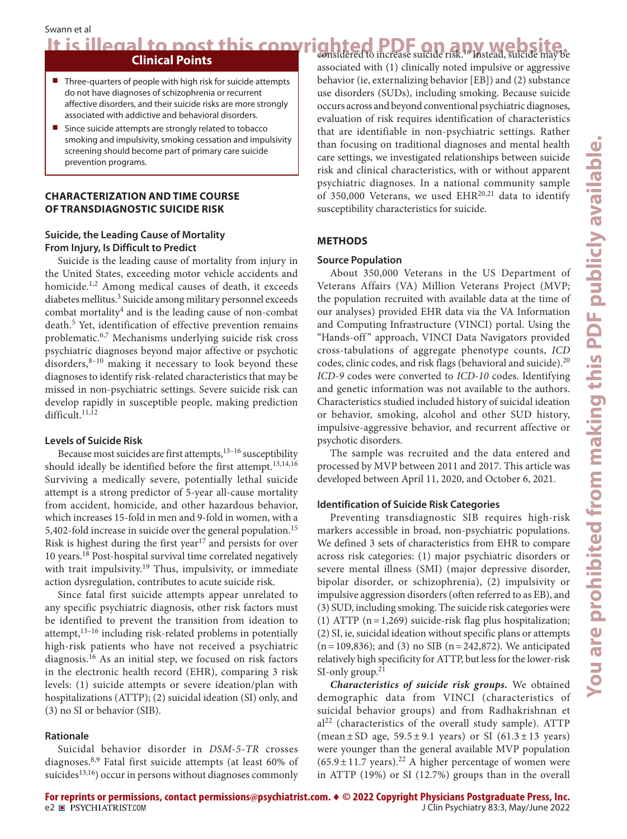## It is illegal to post this copyrighted PDF on any website.

#### **Clinical Points**

- Three-quarters of people with high risk for suicide attempts do not have diagnoses of schizophrenia or recurrent affective disorders, and their suicide risks are more strongly associated with addictive and behavioral disorders.
- Since suicide attempts are strongly related to tobacco smoking and impulsivity, smoking cessation and impulsivity screening should become part of primary care suicide prevention programs.

#### **CHARACTERIZATION AND TIME COURSE OF TRANSDIAGNOSTIC SUICIDE RISK**

#### **Suicide, the Leading Cause of Mortality From Injury, Is Difficult to Predict**

Suicide is the leading cause of mortality from injury in the United States, exceeding motor vehicle accidents and homicide.<sup>1,2</sup> Among medical causes of death, it exceeds diabetes mellitus.<sup>3</sup> Suicide among military personnel exceeds combat mortality<sup>4</sup> and is the leading cause of non-combat death.<sup>5</sup> Yet, identification of effective prevention remains problematic.6,7 Mechanisms underlying suicide risk cross psychiatric diagnoses beyond major affective or psychotic disorders,<sup>8-10</sup> making it necessary to look beyond these diagnoses to identify risk-related characteristics that may be missed in non-psychiatric settings. Severe suicide risk can develop rapidly in susceptible people, making prediction difficult.<sup>11,12</sup>

#### **Levels of Suicide Risk**

Because most suicides are first attempts,<sup>13-16</sup> susceptibility should ideally be identified before the first attempt.<sup>13,14,16</sup> Surviving a medically severe, potentially lethal suicide attempt is a strong predictor of 5-year all-cause mortality from accident, homicide, and other hazardous behavior, which increases 15-fold in men and 9-fold in women, with a 5,402-fold increase in suicide over the general population.<sup>15</sup> Risk is highest during the first year<sup>17</sup> and persists for over 10 years.18 Post-hospital survival time correlated negatively with trait impulsivity.<sup>19</sup> Thus, impulsivity, or immediate action dysregulation, contributes to acute suicide risk.

Since fatal first suicide attempts appear unrelated to any specific psychiatric diagnosis, other risk factors must be identified to prevent the transition from ideation to attempt,<sup>13-16</sup> including risk-related problems in potentially high-risk patients who have not received a psychiatric diagnosis.16 As an initial step, we focused on risk factors in the electronic health record (EHR), comparing 3 risk levels: (1) suicide attempts or severe ideation/plan with hospitalizations (ATTP); (2) suicidal ideation (SI) only, and (3) no SI or behavior (SIB).

#### **Rationale**

Suicidal behavior disorder in *DSM-5*-*TR* crosses diagnoses.8,9 Fatal first suicide attempts (at least 60% of suicides<sup>13,16</sup>) occur in persons without diagnoses commonly associated with (1) clinically noted impulsive or aggressive behavior (ie, externalizing behavior [EB]) and (2) substance use disorders (SUDs), including smoking. Because suicide occurs across and beyond conventional psychiatric diagnoses, evaluation of risk requires identification of characteristics that are identifiable in non-psychiatric settings. Rather than focusing on traditional diagnoses and mental health care settings, we investigated relationships between suicide risk and clinical characteristics, with or without apparent psychiatric diagnoses. In a national community sample of 350,000 Veterans, we used  $EHR^{20,21}$  data to identify susceptibility characteristics for suicide.

#### **METHODS**

#### **Source Population**

About 350,000 Veterans in the US Department of Veterans Affairs (VA) Million Veterans Project (MVP; the population recruited with available data at the time of our analyses) provided EHR data via the VA Information and Computing Infrastructure (VINCI) portal. Using the "Hands-off" approach, VINCI Data Navigators provided cross-tabulations of aggregate phenotype counts, *ICD* codes, clinic codes, and risk flags (behavioral and suicide).<sup>20</sup> *ICD-9* codes were converted to *ICD-10* codes. Identifying and genetic information was not available to the authors. Characteristics studied included history of suicidal ideation or behavior, smoking, alcohol and other SUD history, impulsive-aggressive behavior, and recurrent affective or psychotic disorders.

The sample was recruited and the data entered and processed by MVP between 2011 and 2017. This article was developed between April 11, 2020, and October 6, 2021.

#### **Identification of Suicide Risk Categories**

Preventing transdiagnostic SIB requires high-risk markers accessible in broad, non-psychiatric populations. We defined 3 sets of characteristics from EHR to compare across risk categories: (1) major psychiatric disorders or severe mental illness (SMI) (major depressive disorder, bipolar disorder, or schizophrenia), (2) impulsivity or impulsive aggression disorders (often referred to as EB), and (3) SUD, including smoking. The suicide risk categories were (1) ATTP  $(n=1,269)$  suicide-risk flag plus hospitalization; (2) SI, ie, suicidal ideation without specific plans or attempts  $(n=109,836)$ ; and (3) no SIB (n = 242,872). We anticipated relatively high specificity for ATTP, but less for the lower-risk SI-only group. $21$ 

*Characteristics of suicide risk groups.* We obtained demographic data from VINCI (characteristics of suicidal behavior groups) and from Radhakrishnan et  $al<sup>22</sup>$  (characteristics of the overall study sample). ATTP (mean  $\pm$  SD age, 59.5 $\pm$ 9.1 years) or SI (61.3 $\pm$ 13 years) were younger than the general available MVP population  $(65.9 \pm 11.7 \text{ years})$ .<sup>22</sup> A higher percentage of women were in ATTP (19%) or SI (12.7%) groups than in the overall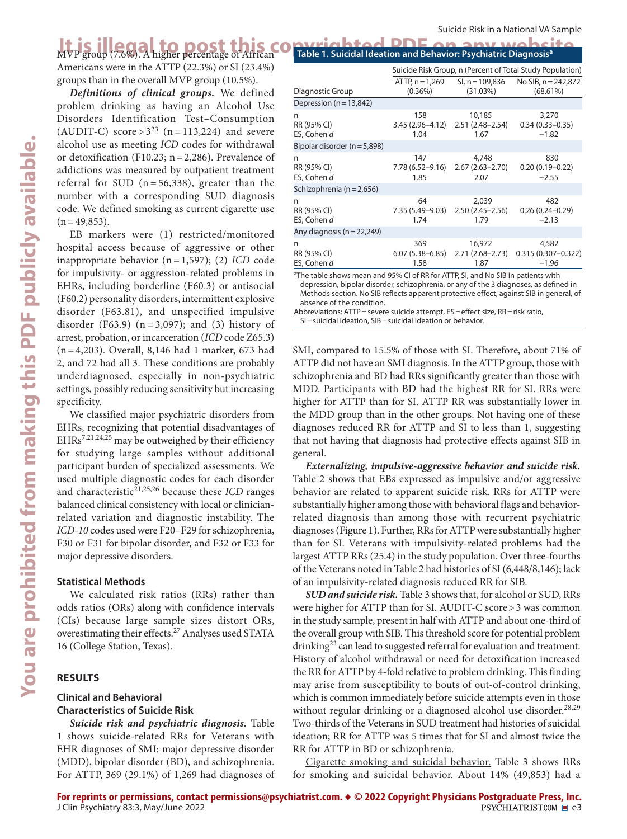### **It is illegal to post this copyrighted PDF on any website**.<br>MVP group (7.6%). A higher percentage of African **Computer in the state of African**

Americans were in the ATTP (22.3%) or SI (23.4%) groups than in the overall MVP group (10.5%).

*Definitions of clinical groups.* We defined problem drinking as having an Alcohol Use Disorders Identification Test–Consumption (AUDIT-C) score >  $3^{23}$  (n = 113,224) and severe alcohol use as meeting *ICD* codes for withdrawal or detoxification (F10.23; n=2,286). Prevalence of addictions was measured by outpatient treatment referral for SUD ( $n = 56,338$ ), greater than the number with a corresponding SUD diagnosis code. We defined smoking as current cigarette use  $(n=49,853)$ .

EB markers were (1) restricted/monitored hospital access because of aggressive or other inappropriate behavior (n= 1,597); (2) *ICD* code for impulsivity- or aggression-related problems in EHRs, including borderline (F60.3) or antisocial (F60.2) personality disorders, intermittent explosive disorder (F63.81), and unspecified impulsive disorder (F63.9) ( $n = 3,097$ ); and (3) history of arrest, probation, or incarceration (*ICD* code Z65.3) (n=4,203). Overall, 8,146 had 1 marker, 673 had 2, and 72 had all 3. These conditions are probably underdiagnosed, especially in non-psychiatric settings, possibly reducing sensitivity but increasing specificity.

We classified major psychiatric disorders from EHRs, recognizing that potential disadvantages of EHRs<sup>7,21,24,25</sup> may be outweighed by their efficiency for studying large samples without additional participant burden of specialized assessments. We used multiple diagnostic codes for each disorder and characteristic<sup>21,25,26</sup> because these *ICD* ranges balanced clinical consistency with local or clinicianrelated variation and diagnostic instability. The *ICD-10* codes used were F20–F29 for schizophrenia, F30 or F31 for bipolar disorder, and F32 or F33 for major depressive disorders.

#### **Statistical Methods**

We calculated risk ratios (RRs) rather than odds ratios (ORs) along with confidence intervals (CIs) because large sample sizes distort ORs, overestimating their effects.<sup>27</sup> Analyses used STATA 16 (College Station, Texas).

#### **RESULTS**

#### **Clinical and Behavioral Characteristics of Suicide Risk**

*Suicide risk and psychiatric diagnosis.* Table 1 shows suicide-related RRs for Veterans with EHR diagnoses of SMI: major depressive disorder (MDD), bipolar disorder (BD), and schizophrenia. For ATTP, 369 (29.1%) of 1,269 had diagnoses of

| avelarian di il ar anv warde                                                |  |  |
|-----------------------------------------------------------------------------|--|--|
|                                                                             |  |  |
| Table 1. Suicidal Ideation and Behavior: Psychiatric Diagnosis <sup>a</sup> |  |  |
|                                                                             |  |  |

| Suicide Risk Group, n (Percent of Total Study Population) |                |                                                                                                                                                                                                                      |  |  |
|-----------------------------------------------------------|----------------|----------------------------------------------------------------------------------------------------------------------------------------------------------------------------------------------------------------------|--|--|
| $(0.36\%)$                                                | (31.03%)       | No SIB, $n = 242,872$<br>$(68.61\%)$                                                                                                                                                                                 |  |  |
|                                                           |                |                                                                                                                                                                                                                      |  |  |
| 158<br>1.04                                               | 10,185<br>1.67 | 3,270<br>$0.34(0.33 - 0.35)$<br>$-1.82$                                                                                                                                                                              |  |  |
|                                                           |                |                                                                                                                                                                                                                      |  |  |
| 147<br>1.85                                               | 4,748<br>2.07  | 830<br>$0.20(0.19 - 0.22)$<br>$-2.55$                                                                                                                                                                                |  |  |
|                                                           |                |                                                                                                                                                                                                                      |  |  |
| 64<br>1.74                                                | 2,039<br>1.79  | 482<br>$0.26(0.24 - 0.29)$<br>$-2.13$                                                                                                                                                                                |  |  |
|                                                           |                |                                                                                                                                                                                                                      |  |  |
| 369<br>1.58                                               | 16,972<br>1.87 | 4,582<br>$0.315(0.307 - 0.322)$<br>$-1.96$                                                                                                                                                                           |  |  |
|                                                           |                | SI, n = 109,836<br>ATTP, $n = 1,269$<br>$3.45(2.96 - 4.12)$<br>$2.51(2.48-2.54)$<br>7.78 (6.52–9.16)<br>$2.67(2.63 - 2.70)$<br>7.35 (5.49–9.03)<br>$2.50(2.45 - 2.56)$<br>$2.71(2.68 - 2.73)$<br>$6.07(5.38 - 6.85)$ |  |  |

<sup>a</sup>The table shows mean and 95% CI of RR for ATTP, SI, and No SIB in patients with depression, bipolar disorder, schizophrenia, or any of the 3 diagnoses, as defined in Methods section. No SIB reflects apparent protective effect, against SIB in general, of absence of the condition.

Abbreviations: ATTP = severe suicide attempt, ES = effect size, RR = risk ratio, SI=suicidal ideation, SIB=suicidal ideation or behavior.

SMI, compared to 15.5% of those with SI. Therefore, about 71% of ATTP did not have an SMI diagnosis. In the ATTP group, those with schizophrenia and BD had RRs significantly greater than those with MDD. Participants with BD had the highest RR for SI. RRs were higher for ATTP than for SI. ATTP RR was substantially lower in the MDD group than in the other groups. Not having one of these diagnoses reduced RR for ATTP and SI to less than 1, suggesting that not having that diagnosis had protective effects against SIB in general.

*Externalizing, impulsive-aggressive behavior and suicide risk.* Table 2 shows that EBs expressed as impulsive and/or aggressive behavior are related to apparent suicide risk. RRs for ATTP were substantially higher among those with behavioral flags and behaviorrelated diagnosis than among those with recurrent psychiatric diagnoses (Figure 1). Further, RRs for ATTP were substantially higher than for SI. Veterans with impulsivity-related problems had the largest ATTP RRs (25.4) in the study population. Over three-fourths of the Veterans noted in Table 2 had histories of SI (6,448/8,146); lack of an impulsivity-related diagnosis reduced RR for SIB.

*SUD and suicide risk.* Table 3 shows that, for alcohol or SUD, RRs were higher for ATTP than for SI. AUDIT-C score>3 was common in the study sample, present in half with ATTP and about one-third of the overall group with SIB. This threshold score for potential problem  $drinking<sup>23</sup>$  can lead to suggested referral for evaluation and treatment. History of alcohol withdrawal or need for detoxification increased the RR for ATTP by 4-fold relative to problem drinking. This finding may arise from susceptibility to bouts of out-of-control drinking, which is common immediately before suicide attempts even in those without regular drinking or a diagnosed alcohol use disorder.<sup>28,29</sup> Two-thirds of the Veterans in SUD treatment had histories of suicidal ideation; RR for ATTP was 5 times that for SI and almost twice the RR for ATTP in BD or schizophrenia.

Cigarette smoking and suicidal behavior. Table 3 shows RRs for smoking and suicidal behavior. About 14% (49,853) had a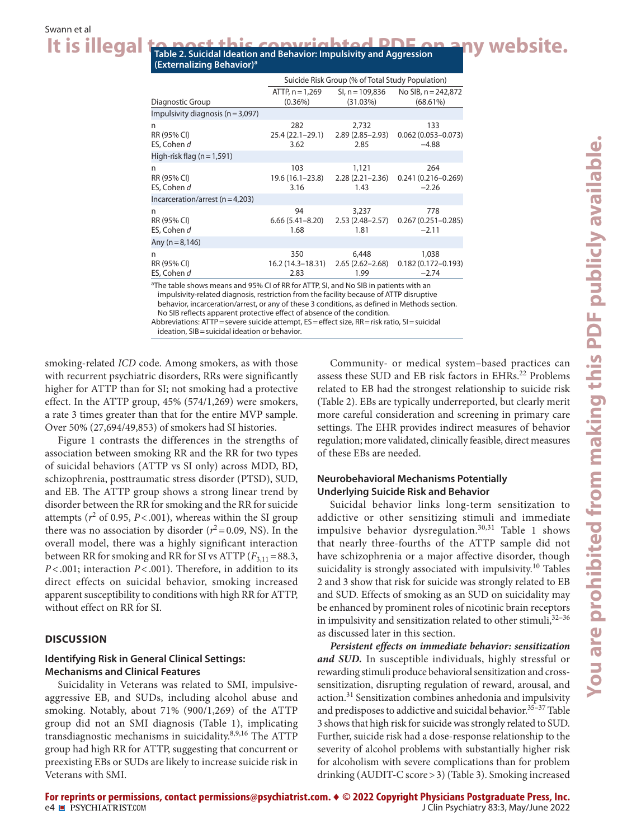It is illegal **to post this copyrighted PDF on any website. (Externalizing Behavior)<sup>a</sup>**

|                                      | Suicide Risk Group (% of Total Study Population)                  |                                      |                                            |  |
|--------------------------------------|-------------------------------------------------------------------|--------------------------------------|--------------------------------------------|--|
| Diagnostic Group                     | ATTP, n = 1,269<br>$(0.36\%)$                                     | SI, n = 109,836<br>(31.03%)          | No SIB, $n = 242,872$<br>$(68.61\%)$       |  |
| Impulsivity diagnosis $(n=3,097)$    |                                                                   |                                      |                                            |  |
| n<br>RR (95% CI)<br>ES, Cohen d      | 282<br>25.4 (22.1–29.1)<br>3.62                                   | 2,732<br>$2.89(2.85 - 2.93)$<br>2.85 | 133<br>$0.062(0.053 - 0.073)$<br>$-4.88$   |  |
| High-risk flag $(n=1,591)$           |                                                                   |                                      |                                            |  |
| n<br>RR (95% CI)<br>ES, Cohen d      | 103<br>19.6 (16.1–23.8)<br>3.16                                   | 1,121<br>$2.28(2.21 - 2.36)$<br>1.43 | 264<br>$0.241(0.216 - 0.269)$<br>$-2.26$   |  |
| Incarceration/arrest ( $n = 4,203$ ) |                                                                   |                                      |                                            |  |
| n<br>RR (95% CI)<br>ES, Cohen d      | 94<br>$6.66(5.41 - 8.20)$<br>1.68                                 | 3,237<br>$2.53(2.48 - 2.57)$<br>1.81 | 778<br>$0.267(0.251 - 0.285)$<br>$-2.11$   |  |
| Any $(n=8, 146)$                     |                                                                   |                                      |                                            |  |
| n<br>RR (95% CI)<br>ES, Cohen d      | 350<br>16.2 (14.3–18.31)<br>2.83                                  | 6,448<br>$2.65(2.62 - 2.68)$<br>1.99 | 1,038<br>$0.182(0.172 - 0.193)$<br>$-2.74$ |  |
| $2 - 1$ $11$                         | $1.952 \times 10^{1}$ $1.002 \times 10^{1}$ $1.102 \times 10^{1}$ |                                      | $\cdots$                                   |  |

<sup>a</sup>The table shows means and 95% CI of RR for ATTP, SI, and No SIB in patients with an impulsivity-related diagnosis, restriction from the facility because of ATTP disruptive behavior, incarceration/arrest, or any of these 3 conditions, as defined in Methods section. No SIB reflects apparent protective effect of absence of the condition.

Abbreviations: ATTP=severe suicide attempt, ES=effect size, RR=risk ratio, SI=suicidal ideation, SIB=suicidal ideation or behavior.

smoking-related *ICD* code. Among smokers, as with those with recurrent psychiatric disorders, RRs were significantly higher for ATTP than for SI; not smoking had a protective effect. In the ATTP group, 45% (574/1,269) were smokers, a rate 3 times greater than that for the entire MVP sample. Over 50% (27,694/49,853) of smokers had SI histories.

Figure 1 contrasts the differences in the strengths of association between smoking RR and the RR for two types of suicidal behaviors (ATTP vs SI only) across MDD, BD, schizophrenia, posttraumatic stress disorder (PTSD), SUD, and EB. The ATTP group shows a strong linear trend by disorder between the RR for smoking and the RR for suicide attempts ( $r^2$  of 0.95,  $P < .001$ ), whereas within the SI group there was no association by disorder  $(r^2=0.09, \text{NS})$ . In the overall model, there was a highly significant interaction between RR for smoking and RR for SI vs ATTP  $(F_{3,11}=88.3,$ *P*<.001; interaction *P*<.001). Therefore, in addition to its direct effects on suicidal behavior, smoking increased apparent susceptibility to conditions with high RR for ATTP, without effect on RR for SI.

#### **DISCUSSION**

#### **Identifying Risk in General Clinical Settings: Mechanisms and Clinical Features**

Suicidality in Veterans was related to SMI, impulsiveaggressive EB, and SUDs, including alcohol abuse and smoking. Notably, about 71% (900/1,269) of the ATTP group did not an SMI diagnosis (Table 1), implicating transdiagnostic mechanisms in suicidality.8,9,16 The ATTP group had high RR for ATTP, suggesting that concurrent or preexisting EBs or SUDs are likely to increase suicide risk in Veterans with SMI.

Community- or medical system–based practices can assess these SUD and EB risk factors in EHRs.<sup>22</sup> Problems related to EB had the strongest relationship to suicide risk (Table 2). EBs are typically underreported, but clearly merit more careful consideration and screening in primary care settings. The EHR provides indirect measures of behavior regulation; more validated, clinically feasible, direct measures of these EBs are needed.

#### **Neurobehavioral Mechanisms Potentially Underlying Suicide Risk and Behavior**

Suicidal behavior links long-term sensitization to addictive or other sensitizing stimuli and immediate impulsive behavior dysregulation.<sup>30,31</sup> Table 1 shows that nearly three-fourths of the ATTP sample did not have schizophrenia or a major affective disorder, though suicidality is strongly associated with impulsivity.<sup>10</sup> Tables 2 and 3 show that risk for suicide was strongly related to EB and SUD. Effects of smoking as an SUD on suicidality may be enhanced by prominent roles of nicotinic brain receptors in impulsivity and sensitization related to other stimuli,  $32-36$ as discussed later in this section.

*Persistent effects on immediate behavior: sensitization and SUD.* In susceptible individuals, highly stressful or rewarding stimuli produce behavioral sensitization and crosssensitization, disrupting regulation of reward, arousal, and action.<sup>31</sup> Sensitization combines anhedonia and impulsivity and predisposes to addictive and suicidal behavior.<sup>35-37</sup> Table 3 shows that high risk for suicide was strongly related to SUD. Further, suicide risk had a dose-response relationship to the severity of alcohol problems with substantially higher risk for alcoholism with severe complications than for problem drinking (AUDIT-C score>3) (Table 3). Smoking increased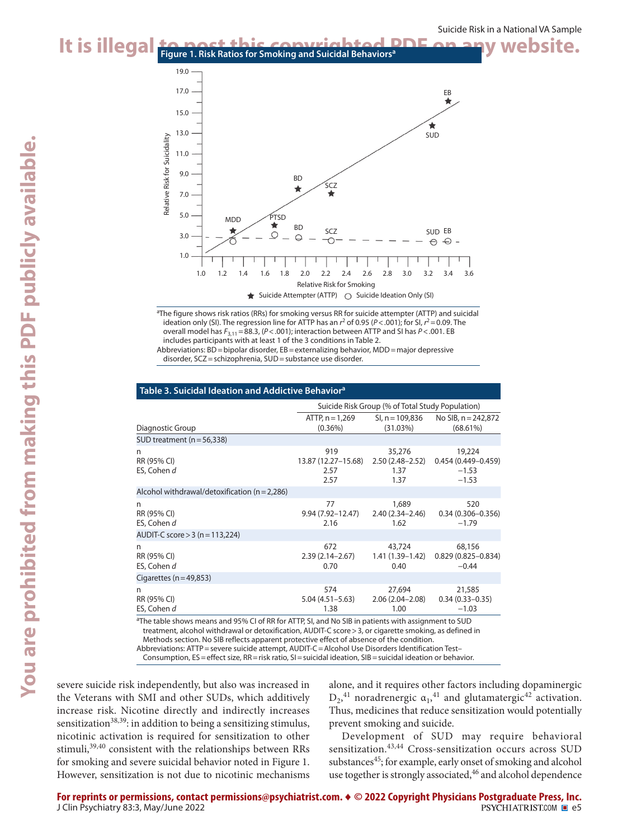### It is illegal to post this copyrighted PDF on any website.



a The figure shows risk ratios (RRs) for smoking versus RR for suicide attempter (ATTP) and suicidal ideation only (SI). The regression line for ATTP has an  $r^2$  of 0.95 (P<.001); for SI,  $r^2$  = 0.09. The overall model has *F*3,11=88.3, (*P*<.001); interaction between ATTP and SI has *P*<.001. EB includes participants with at least 1 of the 3 conditions in Table 2.

Abbreviations: BD = bipolar disorder, EB = externalizing behavior, MDD = major depressive disorder, SCZ=schizophrenia, SUD=substance use disorder.

| Table 3. Suicidal Ideation and Addictive Behavior <sup>a</sup> |                                               |                                                        |  |  |  |  |
|----------------------------------------------------------------|-----------------------------------------------|--------------------------------------------------------|--|--|--|--|
| Suicide Risk Group (% of Total Study Population)               |                                               |                                                        |  |  |  |  |
| ATTP, $n = 1,269$<br>$(0.36\%)$                                | $SI, n = 109,836$<br>(31.03%)                 | No SIB, $n = 242,872$<br>$(68.61\%)$                   |  |  |  |  |
|                                                                |                                               |                                                        |  |  |  |  |
| 919<br>13.87 (12.27–15.68)<br>2.57<br>2.57                     | 35,276<br>$2.50(2.48 - 2.52)$<br>1.37<br>1.37 | 19,224<br>$0.454(0.449 - 0.459)$<br>$-1.53$<br>$-1.53$ |  |  |  |  |
|                                                                |                                               |                                                        |  |  |  |  |
| 77<br>9.94 (7.92-12.47)<br>2.16                                | 1,689<br>$2.40(2.34 - 2.46)$<br>1.62          | 520<br>$0.34(0.306 - 0.356)$<br>$-1.79$                |  |  |  |  |
|                                                                |                                               |                                                        |  |  |  |  |
| 672<br>$2.39(2.14 - 2.67)$<br>0.70                             | 43,724<br>1.41 (1.39–1.42)<br>0.40            | 68,156<br>$0.829(0.825 - 0.834)$<br>$-0.44$            |  |  |  |  |
|                                                                |                                               |                                                        |  |  |  |  |
| 574<br>5.04 (4.51 – 5.63)<br>1.38                              | 27,694<br>$2.06(2.04 - 2.08)$<br>1.00         | 21,585<br>$0.34(0.33 - 0.35)$<br>$-1.03$<br>$\sim$     |  |  |  |  |
|                                                                | $\cdots$ $\cdots$<br>27.77                    | $\cdots$                                               |  |  |  |  |

<sup>a</sup>The table shows means and 95% CI of RR for ATTP, SI, and No SIB in patients with assignment to SUD treatment, alcohol withdrawal or detoxification, AUDIT-C score>3, or cigarette smoking, as defined in Methods section. No SIB reflects apparent protective effect of absence of the condition.

Abbreviations: ATTP=severe suicide attempt, AUDIT-C=Alcohol Use Disorders Identification Test–

Consumption, ES=effect size, RR=risk ratio, SI=suicidal ideation, SIB=suicidal ideation or behavior.

severe suicide risk independently, but also was increased in the Veterans with SMI and other SUDs, which additively increase risk. Nicotine directly and indirectly increases sensitization<sup>38,39</sup>: in addition to being a sensitizing stimulus, nicotinic activation is required for sensitization to other stimuli,<sup>39,40</sup> consistent with the relationships between RRs for smoking and severe suicidal behavior noted in Figure 1. However, sensitization is not due to nicotinic mechanisms alone, and it requires other factors including dopaminergic  $D_2$ <sup>41</sup> noradrenergic  $\alpha_1$ <sup>41</sup> and glutamatergic<sup>42</sup> activation. Thus, medicines that reduce sensitization would potentially prevent smoking and suicide.

Development of SUD may require behavioral sensitization.<sup>43,44</sup> Cross-sensitization occurs across SUD substances<sup>45</sup>; for example, early onset of smoking and alcohol use together is strongly associated,<sup>46</sup> and alcohol dependence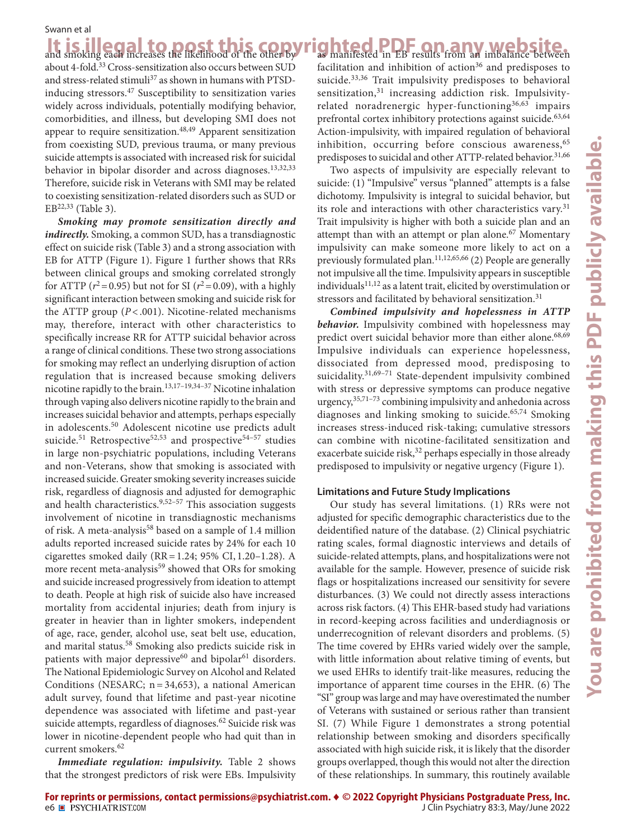It is illegal to post this copy and smoking each increases the likelihood of the other by about 4-fold.33 Cross-sensitization also occurs between SUD and stress-related stimuli<sup>37</sup> as shown in humans with PTSDinducing stressors.<sup>47</sup> Susceptibility to sensitization varies widely across individuals, potentially modifying behavior, comorbidities, and illness, but developing SMI does not appear to require sensitization. $48,49$  Apparent sensitization from coexisting SUD, previous trauma, or many previous suicide attempts is associated with increased risk for suicidal behavior in bipolar disorder and across diagnoses.<sup>13,32,33</sup> Therefore, suicide risk in Veterans with SMI may be related to coexisting sensitization-related disorders such as SUD or  $EB^{22,33}$  (Table 3).

*Smoking may promote sensitization directly and indirectly.* Smoking, a common SUD, has a transdiagnostic effect on suicide risk (Table 3) and a strong association with EB for ATTP (Figure 1). Figure 1 further shows that RRs between clinical groups and smoking correlated strongly for ATTP ( $r^2$ =0.95) but not for SI ( $r^2$ =0.09), with a highly significant interaction between smoking and suicide risk for the ATTP group (*P*< .001). Nicotine-related mechanisms may, therefore, interact with other characteristics to specifically increase RR for ATTP suicidal behavior across a range of clinical conditions. These two strong associations for smoking may reflect an underlying disruption of action regulation that is increased because smoking delivers nicotine rapidly to the brain.13,17–19,34–37 Nicotine inhalation through vaping also delivers nicotine rapidly to the brain and increases suicidal behavior and attempts, perhaps especially in adolescents.50 Adolescent nicotine use predicts adult suicide.<sup>51</sup> Retrospective<sup>52,53</sup> and prospective<sup>54-57</sup> studies in large non-psychiatric populations, including Veterans and non-Veterans, show that smoking is associated with increased suicide. Greater smoking severity increases suicide risk, regardless of diagnosis and adjusted for demographic and health characteristics. $9,52-57$  This association suggests involvement of nicotine in transdiagnostic mechanisms of risk. A meta-analysis<sup>58</sup> based on a sample of 1.4 million adults reported increased suicide rates by 24% for each 10 cigarettes smoked daily (RR=1.24; 95% CI, 1.20–1.28). A more recent meta-analysis<sup>59</sup> showed that ORs for smoking and suicide increased progressively from ideation to attempt to death. People at high risk of suicide also have increased mortality from accidental injuries; death from injury is greater in heavier than in lighter smokers, independent of age, race, gender, alcohol use, seat belt use, education, and marital status.58 Smoking also predicts suicide risk in patients with major depressive<sup>60</sup> and bipolar<sup>61</sup> disorders. The National Epidemiologic Survey on Alcohol and Related Conditions (NESARC;  $n = 34,653$ ), a national American adult survey, found that lifetime and past-year nicotine dependence was associated with lifetime and past-year suicide attempts, regardless of diagnoses.<sup>62</sup> Suicide risk was lower in nicotine-dependent people who had quit than in current smokers.<sup>62</sup>

*Immediate regulation: impulsivity.* Table 2 shows that the strongest predictors of risk were EBs. Impulsivity

It is illegal to post this copyrighted PDF on any website. facilitation and inhibition of action<sup>36</sup> and predisposes to suicide.<sup>33,36</sup> Trait impulsivity predisposes to behavioral sensitization,<sup>31</sup> increasing addiction risk. Impulsivityrelated noradrenergic hyper-functioning<sup>36,63</sup> impairs prefrontal cortex inhibitory protections against suicide.<sup>63,64</sup> Action-impulsivity, with impaired regulation of behavioral inhibition, occurring before conscious awareness,  $65$ predisposes to suicidal and other ATTP-related behavior.<sup>31,66</sup>

> Two aspects of impulsivity are especially relevant to suicide: (1) "Impulsive" versus "planned" attempts is a false dichotomy. Impulsivity is integral to suicidal behavior, but its role and interactions with other characteristics vary.<sup>31</sup> Trait impulsivity is higher with both a suicide plan and an attempt than with an attempt or plan alone.<sup>67</sup> Momentary impulsivity can make someone more likely to act on a previously formulated plan.<sup>11,12,65,66</sup> (2) People are generally not impulsive all the time. Impulsivity appears in susceptible individuals $^{11,12}$  as a latent trait, elicited by overstimulation or stressors and facilitated by behavioral sensitization.<sup>31</sup>

> *Combined impulsivity and hopelessness in ATTP behavior.* Impulsivity combined with hopelessness may predict overt suicidal behavior more than either alone.<sup>68,69</sup> Impulsive individuals can experience hopelessness, dissociated from depressed mood, predisposing to suicidality. $31,69-71$  State-dependent impulsivity combined with stress or depressive symptoms can produce negative urgency,  $35,71-73$  combining impulsivity and anhedonia across diagnoses and linking smoking to suicide.<sup>65,74</sup> Smoking increases stress-induced risk-taking; cumulative stressors can combine with nicotine-facilitated sensitization and exacerbate suicide risk,<sup>32</sup> perhaps especially in those already predisposed to impulsivity or negative urgency (Figure 1).

#### **Limitations and Future Study Implications**

Our study has several limitations. (1) RRs were not adjusted for specific demographic characteristics due to the deidentified nature of the database. (2) Clinical psychiatric rating scales, formal diagnostic interviews and details of suicide-related attempts, plans, and hospitalizations were not available for the sample. However, presence of suicide risk flags or hospitalizations increased our sensitivity for severe disturbances. (3) We could not directly assess interactions across risk factors. (4) This EHR-based study had variations in record-keeping across facilities and underdiagnosis or underrecognition of relevant disorders and problems. (5) The time covered by EHRs varied widely over the sample, with little information about relative timing of events, but we used EHRs to identify trait-like measures, reducing the importance of apparent time courses in the EHR. (6) The "SI" group was large and may have overestimated the number of Veterans with sustained or serious rather than transient SI. (7) While Figure 1 demonstrates a strong potential relationship between smoking and disorders specifically associated with high suicide risk, it is likely that the disorder groups overlapped, though this would not alter the direction of these relationships. In summary, this routinely available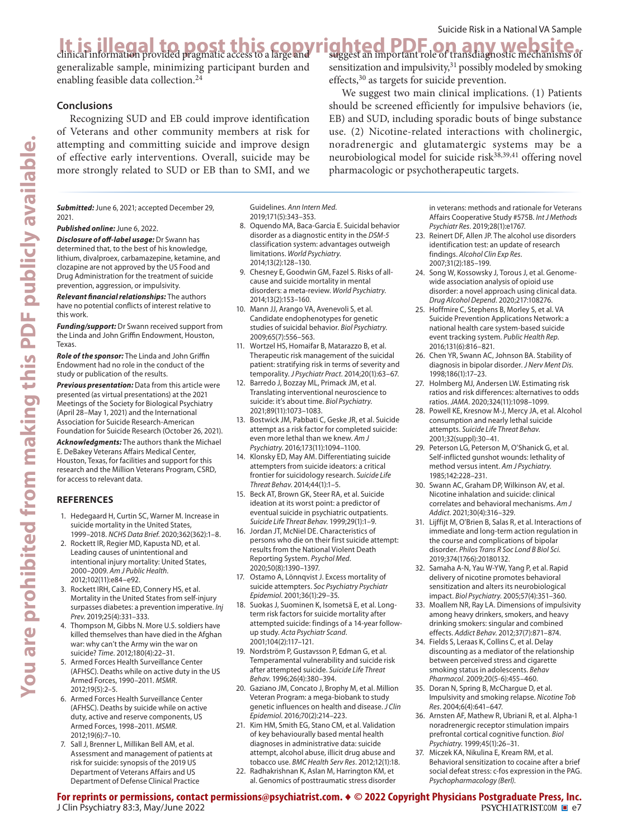suggest an important role of transdiagnostic mechanisms of sensitization and impulsivity, $31$  possibly modeled by smoking

We suggest two main clinical implications. (1) Patients should be screened efficiently for impulsive behaviors (ie, EB) and SUD, including sporadic bouts of binge substance use. (2) Nicotine-related interactions with cholinergic, noradrenergic and glutamatergic systems may be a neurobiological model for suicide risk<sup>38,39,41</sup> offering novel

effects,<sup>30</sup> as targets for suicide prevention.

pharmacologic or psychotherapeutic targets.

### It is illegal to post this copyrighted PDF on any website.

generalizable sample, minimizing participant burden and enabling feasible data collection.<sup>24</sup>

#### **Conclusions**

Recognizing SUD and EB could improve identification of Veterans and other community members at risk for attempting and committing suicide and improve design of effective early interventions. Overall, suicide may be more strongly related to SUD or EB than to SMI, and we

*Submitted:* June 6, 2021; accepted December 29, 2021.

*Published online:* June 6, 2022.

*Disclosure of off-label usage:* Dr Swann has determined that, to the best of his knowledge, lithium, divalproex, carbamazepine, ketamine, and clozapine are not approved by the US Food and Drug Administration for the treatment of suicide prevention, aggression, or impulsivity.

*Relevant financial relationships:* The authors have no potential conflicts of interest relative to this work.

*Funding/support:* Dr Swann received support from the Linda and John Griffin Endowment, Houston, Texas.

*Role of the sponsor:* The Linda and John Griffin Endowment had no role in the conduct of the study or publication of the results.

*Previous presentation:* Data from this article were presented (as virtual presentations) at the 2021 Meetings of the Society for Biological Psychiatry (April 28–May 1, 2021) and the International Association for Suicide Research-American Foundation for Suicide Research (October 26, 2021).

*Acknowledgments:* The authors thank the Michael E. DeBakey Veterans Affairs Medical Center, Houston, Texas, for facilities and support for this research and the Million Veterans Program, CSRD, for access to relevant data.

#### **REFERENCES**

- 1. Hedegaard H, Curtin SC, Warner M. Increase in suicide mortality in the United States, 1999-2018. *NCHS Data Brief.* 2020;362(362):1-8.
- 2. Rockett IR, Regier MD, Kapusta ND, et al. Leading causes of unintentional and intentional injury mortality: United States, 2000–2009. *Am J Public Health*. 2012;102(11):e84-e92.
- 3. Rockett IRH, Caine ED, Connery HS, et al. Mortality in the United States from self-injury surpasses diabetes: a prevention imperative. *Inj*  Prev. 2019;25(4):331-333.
- 4. Thompson M, Gibbs N. More U.S. soldiers have killed themselves than have died in the Afghan war: why can't the Army win the war on suicide? *Time*. 2012:180(4):22-31.
- 5. Armed Forces Health Surveillance Center (AFHSC). Deaths while on active duty in the US Armed Forces, 1990–2011. *MSMR*. 2012;19(5):2–5. PubMed
- 6. Armed Forces Health Surveillance Center (AFHSC). Deaths by suicide while on active duty, active and reserve components, US Armed Forces, 1998–2011. *MSMR*. 2012:19(6):7-10.
- 7. Sall J, Brenner L, Millikan Bell AM, et al. Assessment and management of patients at risk for suicide: synopsis of the 2019 US Department of Veterans Affairs and US Department of Defense Clinical Practice

Guidelines. *Ann Intern Med*. 2019:171(5):343-353.

- 8. Oquendo MA, Baca-Garcia E. Suicidal behavior disorder as a diagnostic entity in the *DSM-5* classification system: advantages outweigh limitations. *World Psychiatry*. 2014;13(2):128-130.
- 9. Chesney E, Goodwin GM, Fazel S. Risks of allcause and suicide mortality in mental disorders: a meta-review. *World Psychiatry*. 2014:13(2):153-160.
- 10. Mann JJ, Arango VA, Avenevoli S, et al. Candidate endophenotypes for genetic studies of suicidal behavior. *Biol Psychiatry*. 2009;65(7):556-563.
- 11. Wortzel HS, Homaifar B, Matarazzo B, et al. Therapeutic risk management of the suicidal patient: stratifying risk in terms of severity and temporality. *J Psychiatr Pract*. 2014;20(1):63-67.
- 12. Barredo J, Bozzay ML, Primack JM, et al. Translating interventional neuroscience to suicide: it's about time. *Biol Psychiatry*. 2021;89(11):1073-1083.
- 13. Bostwick JM, Pabbati C, Geske JR, et al. Suicide attempt as a risk factor for completed suicide: even more lethal than we knew. *A[m](https://doi.org/10.1176/appi.ajp.2016.15070854) J*  Psychiatry. 2016;173(11):1094-1100.
- 14. Klonsky ED, May AM. Differentiating suicide attempters from suicide ideators: a critical frontier for suicidology research. *Suicide Life Threat Behav.* 2014;44(1):1-5.
- 15. Beck AT, Brown GK, Steer RA, et al. Suicide ideation at its worst point: a predictor of eventual suicide in psychiatric outpatients. Suicide Life Threat Behav. 1999;29(1):1-9.
- 16. Jordan JT, McNiel DE. Characteristics of persons who die on their first suicide attempt: results from the National Violent Death Reporting System. *Psychol Med*. 2020;50(8):1390-1397.
- 17. Ostamo A, Lönnqvist J. Excess mortality of suicide attempters. *Soc Psychiatry Psychiatr Epidemiol.* 2001;36(1):29-35.
- 18. Suokas J, Suominen K, Isometsä E, et al. Longterm risk factors for suicide mortality after attempted suicide: findings of a 14-year followup study. *Acta Psychiatr Scand*. 2001;104(2):117-121.
- 19. Nordström P, Gustavsson P, Edman G, et al. Temperamental vulnerability and suicide risk after attempted suicide. *Suicide Life Threat*  Behav. 1996;26(4):380-394.
- 20. Gaziano JM, Concato J, Brophy M, et al. Million Veteran Program: a mega-biobank to study genetic influences on health and disease. *J Clin*  Epidemiol. 2016;70(2):214-223.
- 21. Kim HM, Smith EG, Stano CM, et al. Validation of key behaviourally based mental health diagnoses in administrative data: suicide attempt, alcohol abuse, illicit drug abuse and tobacco use. BMC Health Serv Res. 2012;12(1):18.
- 22. Radhakrishnan K, Aslan M, Harrington KM, et al. Genomics of posttraumatic stress disorder

in veterans: methods and rationale for Veterans Affairs Cooperative Study #575B. *Int J Methods*  Psychiatr Res. 2019;28(1):e1767.

- 23. Reinert DF, Allen JP. The alcohol use disorders identification test: an update of research findings. *Alcohol Clin Exp Res*. 2007:31(2):185-199.
- 24. Song W, Kossowsky J, Torous J, et al. Genomewide association analysis of opioid use disorder: a novel approach using clinical data. *Drug Alcohol Depend.* 2020;217:108276.
- 25. Hoffmire C, Stephens B, Morley S, et al. VA Suicide Prevention Applications Network: a national health care system-based suicide event tracking system. *Public Health Rep*. 2016;131(6):816-821.
- 26. Chen YR, Swann AC, Johnson BA. Stability of diagnosis in bipolar disorder. *J Nerv Ment Dis*. 1998;186(1):17-23.
- 27. Holmberg MJ, Andersen LW. Estimating risk ratios and risk differences: alternatives to odds ratios. JAMA. 2020;324(11):1098-1099.
- 28. Powell KE, Kresnow M-J, Mercy JA, et al. Alcohol consumption and nearly lethal suicide attempts. *Suicide Life Threat Behav*. 2001;32(suppl):30-41.
- 29. Peterson LG, Peterson M, O'Shanick G, et al. Self-inflicted gunshot wounds: lethality of method versus intent. *Am J Psychiatry*. 1985;142:228-231.
- 30. Swann AC, Graham DP, Wilkinson AV, et al. Nicotine inhalation and suicide: clinical correlates and behavioral mechanisms. *Am J*  Addict. 2021:30(4):316-329.
- 31. Lijffijt M, O'Brien B, Salas R, et al. Interactions of immediate and long-term action regulation in the course and complications of bipolar disorder. *Philos Trans R Soc Lond B Biol Sci*. 2019;374(1766):20180132.
- 32. Samaha A-N, Yau W-YW, Yang P, et al. Rapid delivery of nicotine promotes behavioral sensitization and alters its neurobiological impact. *Biol Psychiatry*. 2005;57(4):351-360.
- 33. Moallem NR, Ray LA. Dimensions of impulsivity among heavy drinkers, smokers, and heavy drinking smokers: singular and combined effects. *Addict Behav.* 2012:37(7):871-874.
- 34. Fields S, Leraas K, Collins C, et al. Delay discounting as a mediator of the relationship between perceived stress and cigarette smoking status in adolescents. *Behav*  Pharmacol. 2009;20(5-6):455-460.
- 35. Doran N, Spring B, McChargue D, et al. Impulsivity and smoking relapse. *Nicotine Tob*   $Res. 2004;6(4):641-647.$
- 36. Arnsten AF, Mathew R, Ubriani R, et al. Alpha-1 noradrenergic receptor stimulation impairs prefrontal cortical cognitive [f](https://doi.org/10.1016/S0006-3223(98)00296-0)unction. *Biol*  Psychiatry. 1999;45(1):26-31.
- 37. Miczek KA, Nikulina E, Kream RM, et al. Behavioral sensitization to cocaine after a brief social defeat stress: c-fos expression in the PAG. *Psychopharmacology (Berl)*.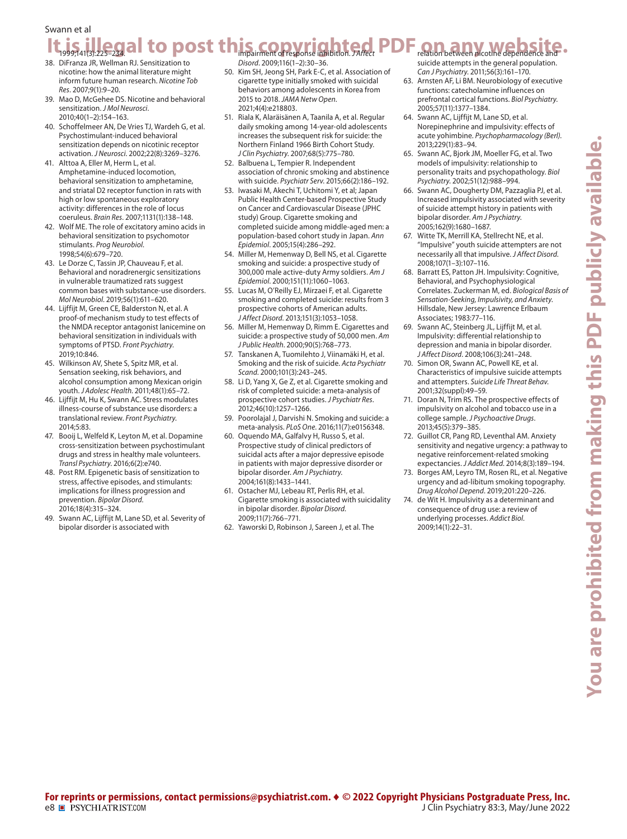#### It, is, illegal to post this copyrighted PDF an any website. Swann et al relation between nicotine dependence and

- 38. DiFranza JR, Wellman RJ. Sensitization to nicotine: how the animal literature might inform future human research. *Nicotine Tob Res.* 2007:9(1):9-20.
- 39. Mao D, McGehee DS. Nicotine and behavioral sensitization. *J Mol Neurosci*.  $2010:40(1-2):154-163.$
- 40. Schoffelmeer AN, De Vries TJ, Wardeh G, et al. Psychostimulant-induced behavioral sensitization depends on nicotinic receptor activation. *J Neurosci*. 2002;22(8):3269-3276.
- 41. Alttoa A, Eller M, Herm L, et al. Amphetamine-induced locomotion, behavioral sensitization to amphetamine, and striatal D2 receptor function in rats with high or low spontaneous exploratory activity: differences in the role of locus coeruleus. *Brain Res.* 2007;1131(1):138-148.
- 42. Wolf ME. The role of excitatory amino acids in behavioral sensitization to psychomotor stimulants. *Prog Ne[ur](https://doi.org/10.1016/S0301-0082(97)00090-7)obiol*. 1998;54(6):679-720.
- 43. Le Dorze C, Tassin JP, Chauveau F, et al. Behavioral and noradrenergic sensitizations in vulnerable traumatized rats suggest common bases with substance-use disorders. *Mol Neurobiol.* 2019;56(1):611-620.
- 44. Lijffijt M, Green CE, Balderston N, et al. A proof-of mechanism study to test effects of the NMDA receptor antagonist lanicemine on behavioral sensitization in individuals with symptoms of PTSD. *Front Psychiatry*. 2019:10:846.
- 45. Wilkinson AV, Shete S, Spitz MR, et al. Sensation seeking, risk behaviors, and alcohol consumption among Mexican or[ig](https://doi.org/10.1016/j.jadohealth.2010.05.002)in vouth. *J Adolesc Health*. 2011:48(1):65-72.
- 46. Lijffijt M, Hu K, Swann AC. Stress modulates illness-course of substance use disorders: a translatio[n](https://doi.org/10.3389/fpsyt.2014.00083)al review. *Front Psychiatry*. 2014;5:83.
- 47. Booij L, Welfeld K, Leyton M, et al. Dopamine cross-sensitization between psychostimulant drugs and stress in healthy male volunteers. *Transl Psychiatry*. 2016;6(2):e740.
- 48. Post RM. Epigenetic basis of sensitization to stress, affective episodes, and stimulants: implications for illness progression and prevention. *Bipolar Disord*. 2016;18(4):315-324.
- 49. Swann AC, Lijffijt M, Lane SD, et al. Severity of bipolar disorder is associated with

*Disord.* 2009:116(1-2):30-36.

- 50. Kim SH, Jeong SH, Park E-C, et al. Association of cigarette type initially smoked with suicidal behaviors among adolescents in Korea from 2015 to 2018. *JAMA Netw Open*. 2021;4(4):e218803.
- 51. Riala K, Alaräisänen A, Taanila A, et al. Regular daily smoking among 14-year-old adolescents increases the subsequent risk for suicide: the Northern Finland 1966 Birth Cohort Study. *J Clin Psychiatry.* 2007;68(5):775-780.
- 52. Balbuena L, Tempier R. Independent association of chronic smoking and abstinence with suicide. *Psychiatr Serv.* 2015;66(2):186-192.
- 53. Iwasaki M, Akechi T, Uchitomi Y, et al; Japan Public Health Center-based Prospective Study on Cancer and Cardiovascular Disease (JPHC study) Group. Cigarette smoking and completed suicide among middle-aged men: a population-based cohort study in Japan. *Ann Epidemiol.* 2005;15(4):286-292.
- 54. Miller M, Hemenway D, Bell NS, et al. Cigarette smoking and suicide: a prospective study of 300,000 male active-duty Army soldiers. *Am J Epidemiol.* 2000;151(11):1060-1063.
- 55. Lucas M, O'Reilly EJ, Mirzaei F, et al. Cigarette smoking and completed suicide: results from 3 prospective cohorts of American adults. J Affect Disord. 2013;151(3):1053-1058.
- 56. Miller M, Hemenway D, Rimm E. Cigarettes and suicide: a prospective study of 50,0[0](https://doi.org/10.2105/AJPH.90.5.768)0 men. *Am J Public Health.* 2000:90(5):768-773.
- 57. Tanskanen A, Tuomilehto J, Viinamäki H, et al. Smoking and the risk of suicide. *Acta Psychiatr Scand.* 2000;101(3):243-245.
- 58. Li D, Yang X, Ge Z, et al. Cigarette smoking and risk of completed suicide: a meta-analysis of prospective cohort stu[d](https://doi.org/10.1016/j.jpsychires.2012.03.013)ies. *J Psychiatr Res*. 2012;46(10):1257-1266.
- 59. Poorolajal J, Darvishi N. Smoking and suicide: a meta-analysis. *PLoS One*. 2016;11(7):e0156348.
- 60. Oquendo MA, Galfalvy H, Russo S, et al. Prospective study of clinical predictors of suicidal acts after a major depressive episode in patients with major depressive disorder or bipolar disorder. *Am J Psychiatry*. 2004:161(8):1433-1441.
- 61. Ostacher MJ, Lebeau RT, Perlis RH, et al. Cigarette smoking is associated with suicidality in bipolar disorder. *[B](https://doi.org/10.1111/j.1399-5618.2009.00744.x)ipolar Disord*. 2009:11(7):766-771.
- 62. Yaworski D, Robinson J, Sareen J, et al. The

suicide attempts in the general population. Can J Psychiatry. 2011;56(3):161-170.

- 63. Arnsten AF, Li BM. Neurobiology of executive functions: catecholamine influences on prefrontal cortical functions. *Biol Psychiatry*. 2005;57(11):1377-1384.
- 64. Swann AC, Lijffijt M, Lane SD, et al. Norepinephrine and impulsivity: effects of acute yohimbine. *Psychopharmacology (Berl)*. 2013;229(1):83-94.
- 65. Swann AC, Bjork JM, Moeller FG, et al. Two models of impulsivity: relationship to personality traits and psychopathology. *Biol*  Psychiatry. 2002;51(12):988-994.
- 66. Swann AC, Dougherty DM, Pazzaglia PJ, et al. Increased impulsivity associated with severity of suicide attempt history in patients with bipolar disorder. *Am J Psychiatry*. 2005;162(9):1680-1687.
- 67. Witte TK, Merrill KA, Stellrecht NE, et al. "Impulsive" youth suicide attempters are not necessarily all that impulsive. *J Affect Disord*. 2008;107(1-3):107-116.
- 68. Barratt ES, Patton JH. Impulsivity: Cognitive, Behavioral, and Psychophysiological Correlates. Zuckerman M, ed. *Biological Basis of Sensation-Seeking, Impulsivity, and Anxiety*. Hillsdale, New Jersey: Lawrence Erlbaum Associates; 1983:77–116.
- 69. Swann AC, Steinberg JL, Lijffijt M, et al. Impulsivity: differential relationship to depression and mania in bipolar disorder. J Affect Disord. 2008;106(3):241-248.
- 70. Simon OR, Swann AC, Powell KE, et al. Characteristics of impulsive suicide attempts and attempters. *Suici[de](https://doi.org/10.1521/suli.32.1.5.49.24212) Life Threat Behav*. 2001;32(suppl):49-59.
- 71. Doran N, Trim RS. The prospective effects of impulsivity on alcohol and tobacco use in a college sample. *J Ps[y](https://doi.org/10.1080/02791072.2013.844380)choactive Drugs*. 2013;45(5):379-385.
- 72. Guillot CR, Pang RD, Leventhal AM. Anxiety sensitivity and negative urgency: a pathway to negative reinforcement-related smoking expectancies. *J Addict Med*. 2014;8(3):189-194.
- 73. Borges AM, Leyro TM, Rosen RL, et al. Negative urgency and ad-libitum smoking topography. *Drug Alcohol Depend.* 2019;201:220-226.
- 74. de Wit H. Impulsivity as a determinant and consequence of drug use: a review of underlying processes. *Addict Biol*. 2009;14(1):22-31.